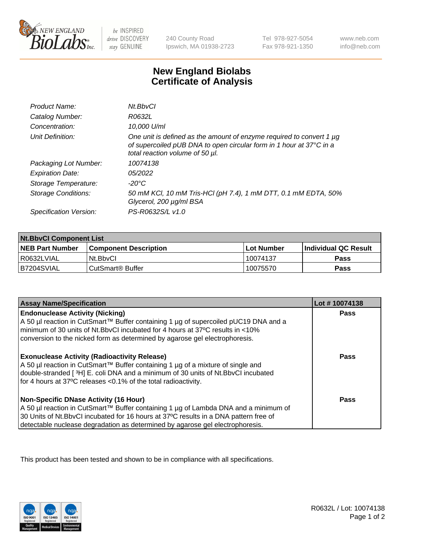

 $be$  INSPIRED drive DISCOVERY stay GENUINE

240 County Road Ipswich, MA 01938-2723 Tel 978-927-5054 Fax 978-921-1350 www.neb.com info@neb.com

## **New England Biolabs Certificate of Analysis**

| Product Name:              | Nt.BbvCl                                                                                                                                                                       |
|----------------------------|--------------------------------------------------------------------------------------------------------------------------------------------------------------------------------|
| Catalog Number:            | R0632L                                                                                                                                                                         |
| Concentration:             | 10,000 U/ml                                                                                                                                                                    |
| Unit Definition:           | One unit is defined as the amount of enzyme required to convert 1 µg<br>of supercoiled pUB DNA to open circular form in 1 hour at 37°C in a<br>total reaction volume of 50 µl. |
| Packaging Lot Number:      | 10074138                                                                                                                                                                       |
| <b>Expiration Date:</b>    | 05/2022                                                                                                                                                                        |
| Storage Temperature:       | $-20^{\circ}$ C                                                                                                                                                                |
| <b>Storage Conditions:</b> | 50 mM KCl, 10 mM Tris-HCl (pH 7.4), 1 mM DTT, 0.1 mM EDTA, 50%<br>Glycerol, 200 µg/ml BSA                                                                                      |
| Specification Version:     | PS-R0632S/L v1.0                                                                                                                                                               |

| <b>Nt.BbvCl Component List</b> |                         |              |                             |  |
|--------------------------------|-------------------------|--------------|-----------------------------|--|
| <b>NEB Part Number</b>         | l Component Description | l Lot Number | <b>Individual QC Result</b> |  |
| I R0632LVIAL                   | Nt.BbvCl                | 10074137     | <b>Pass</b>                 |  |
| IB7204SVIAL                    | l CutSmart® Buffer      | 10075570     | <b>Pass</b>                 |  |

| <b>Assay Name/Specification</b>                                                                                                                                                                                                                                                                                | Lot #10074138 |
|----------------------------------------------------------------------------------------------------------------------------------------------------------------------------------------------------------------------------------------------------------------------------------------------------------------|---------------|
| <b>Endonuclease Activity (Nicking)</b><br>A 50 µl reaction in CutSmart™ Buffer containing 1 µg of supercoiled pUC19 DNA and a<br>minimum of 30 units of Nt.BbvCI incubated for 4 hours at 37°C results in <10%<br>conversion to the nicked form as determined by agarose gel electrophoresis.                  | <b>Pass</b>   |
| <b>Exonuclease Activity (Radioactivity Release)</b><br>  A 50 µl reaction in CutSmart™ Buffer containing 1 µg of a mixture of single and<br>double-stranded [3H] E. coli DNA and a minimum of 30 units of Nt. BbvCl incubated<br>for 4 hours at 37°C releases <0.1% of the total radioactivity.                | <b>Pass</b>   |
| <b>Non-Specific DNase Activity (16 Hour)</b><br>  A 50 µl reaction in CutSmart™ Buffer containing 1 µg of Lambda DNA and a minimum of<br>30 Units of Nt.BbvCl incubated for 16 hours at 37°C results in a DNA pattern free of<br>detectable nuclease degradation as determined by agarose gel electrophoresis. | <b>Pass</b>   |

This product has been tested and shown to be in compliance with all specifications.